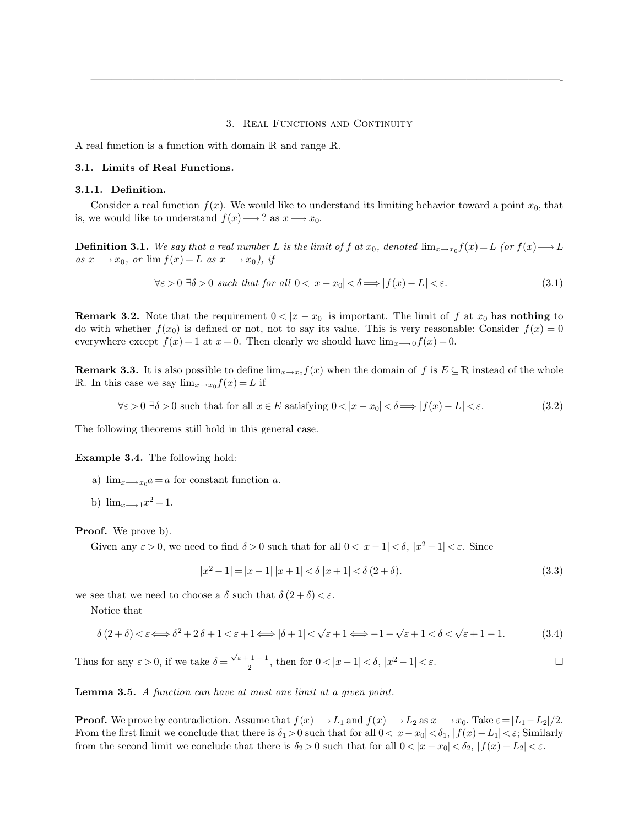#### <span id="page-0-0"></span>3. REAL FUNCTIONS AND CONTINUITY

—————————————————————————————————————————————-

A real function is a function with domain R and range R.

## **3.1. Limits of Real Functions.**

## **3.1.1. Definition.**

Consider a real function  $f(x)$ . We would like to understand its limiting behavior toward a point  $x_0$ , that is, we would like to understand  $f(x) \longrightarrow ?$  as  $x \longrightarrow x_0$ .

**Definition 3.1.** We say that a real number L is the limit of f at  $x_0$ , denoted  $\lim_{x\to x_0} f(x) = L$  *(or*  $f(x) \longrightarrow L$  $as x \longrightarrow x_0$ *, or*  $\lim f(x) = L$  *as*  $x \longrightarrow x_0$ *), if* 

$$
\forall \varepsilon > 0 \; \exists \delta > 0 \; such \; that \; for \; all \; 0 < |x - x_0| < \delta \Longrightarrow |f(x) - L| < \varepsilon. \tag{3.1}
$$

**Remark 3.2.** Note that the requirement  $0 < |x - x_0|$  is important. The limit of f at  $x_0$  has **nothing** to do with whether  $f(x_0)$  is defined or not, not to say its value. This is very reasonable: Consider  $f(x) = 0$ everywhere except  $f(x) = 1$  at  $x = 0$ . Then clearly we should have  $\lim_{x\to 0}f(x) = 0$ .

**Remark 3.3.** It is also possible to define  $\lim_{x\to x_0} f(x)$  when the domain of f is  $E \subseteq \mathbb{R}$  instead of the whole R. In this case we say  $\lim_{x\to x_0} f(x) = L$  if

$$
\forall \varepsilon > 0 \,\,\exists \delta > 0 \text{ such that for all } x \in E \text{ satisfying } 0 < |x - x_0| < \delta \Longrightarrow |f(x) - L| < \varepsilon. \tag{3.2}
$$

The following theorems still hold in this general case.

**Example 3.4.** The following hold:

- a)  $\lim_{x\longrightarrow x_0}a = a$  for constant function a.
- b)  $\lim_{x\longrightarrow 1}x^2=1$ .

**Proof.** We prove b).

Given any  $\varepsilon > 0$ , we need to find  $\delta > 0$  such that for all  $0 < |x - 1| < \delta$ ,  $|x^2 - 1| < \varepsilon$ . Since

$$
|x^2 - 1| = |x - 1| |x + 1| < \delta |x + 1| < \delta (2 + \delta).
$$
\n(3.3)

we see that we need to choose a  $\delta$  such that  $\delta (2 + \delta) < \varepsilon$ .

Notice that

$$
\delta(2+\delta) < \varepsilon \Longleftrightarrow \delta^2 + 2\delta + 1 < \varepsilon + 1 \Longleftrightarrow |\delta + 1| < \sqrt{\varepsilon + 1} \Longleftrightarrow -1 - \sqrt{\varepsilon + 1} < \delta < \sqrt{\varepsilon + 1} - 1. \tag{3.4}
$$

Thus for any 
$$
\varepsilon > 0
$$
, if we take  $\delta = \frac{\sqrt{\varepsilon + 1} - 1}{2}$ , then for  $0 < |x - 1| < \delta$ ,  $|x^2 - 1| < \varepsilon$ .

**Lemma 3.5.** *A function can have at most one limit at a given point.*

**Proof.** We prove by contradiction. Assume that  $f(x) \rightarrow L_1$  and  $f(x) \rightarrow L_2$  as  $x \rightarrow x_0$ . Take  $\varepsilon = |L_1 - L_2|/2$ . From the first limit we conclude that there is  $\delta_1>0$  such that for all  $0<|x-x_0|<\delta_1$ ,  $|f(x)-L_1|<\varepsilon$ ; Similarly from the second limit we conclude that there is  $\delta_2 > 0$  such that for all  $0 < |x - x_0| < \delta_2$ ,  $|f(x) - L_2| < \varepsilon$ .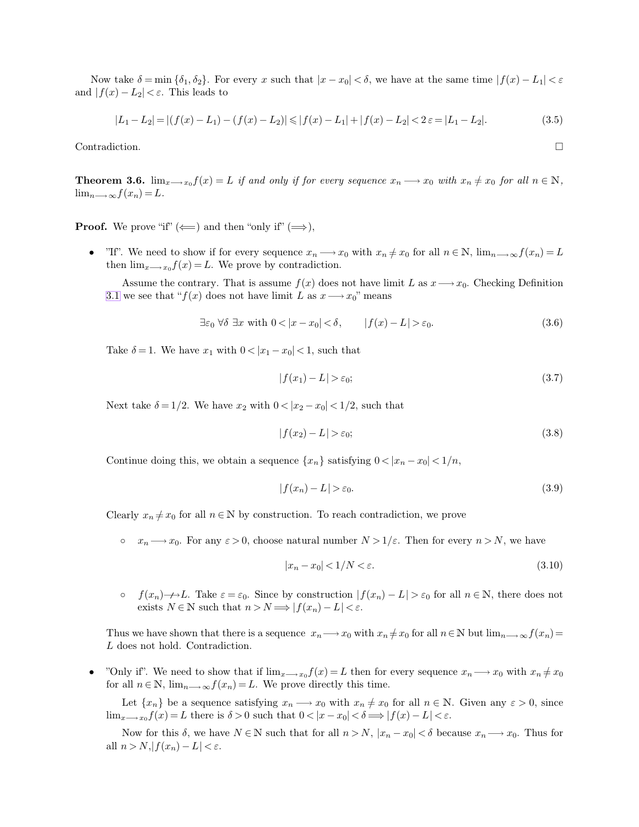Now take  $\delta = \min \{\delta_1, \delta_2\}$ . For every x such that  $|x - x_0| < \delta$ , we have at the same time  $|f(x) - L_1| < \varepsilon$ and  $|f(x) - L_2| < \varepsilon$ . This leads to

<span id="page-1-0"></span>
$$
|L_1 - L_2| = |(f(x) - L_1) - (f(x) - L_2)| \le |f(x) - L_1| + |f(x) - L_2| < 2\epsilon = |L_1 - L_2|.
$$
\n(3.5)

Contradiction.

**Theorem 3.6.**  $\lim_{x\to x_0} f(x) = L$  *if and only if for every sequence*  $x_n \longrightarrow x_0$  *with*  $x_n \neq x_0$  *for all*  $n \in \mathbb{N}$ *,*  $\lim_{n\longrightarrow\infty}f(x_n)=L$ .

**Proof.** We prove "if" ( $\Longleftarrow$ ) and then "only if" ( $\Longrightarrow$ ),

• "If". We need to show if for every sequence  $x_n \longrightarrow x_0$  with  $x_n \neq x_0$  for all  $n \in \mathbb{N}$ ,  $\lim_{n \to \infty} f(x_n) = L$ then  $\lim_{x\longrightarrow x_0}f(x) = L$ . We prove by contradiction.

Assume the contrary. That is assume  $f(x)$  does not have limit L as  $x \rightarrow x_0$ . Checking Definition [3.1](#page-0-0) we see that " $f(x)$  does not have limit L as  $x \rightarrow x_0$ " means

$$
\exists \varepsilon_0 \; \forall \delta \; \exists x \; \text{with} \; 0 < |x - x_0| < \delta, \qquad |f(x) - L| > \varepsilon_0. \tag{3.6}
$$

Take  $\delta = 1$ . We have  $x_1$  with  $0 < |x_1 - x_0| < 1$ , such that

$$
|f(x_1) - L| > \varepsilon_0; \tag{3.7}
$$

Next take  $\delta = 1/2$ . We have  $x_2$  with  $0 < |x_2 - x_0| < 1/2$ , such that

$$
|f(x_2) - L| > \varepsilon_0; \tag{3.8}
$$

Continue doing this, we obtain a sequence  $\{x_n\}$  satisfying  $0 < |x_n - x_0| < 1/n$ ,

$$
|f(x_n) - L| > \varepsilon_0. \tag{3.9}
$$

Clearly  $x_n \neq x_0$  for all  $n \in \mathbb{N}$  by construction. To reach contradiction, we prove

•  $x_n \longrightarrow x_0$ . For any  $\varepsilon > 0$ , choose natural number  $N > 1/\varepsilon$ . Then for every  $n > N$ , we have

$$
|x_n - x_0| < 1/N < \varepsilon. \tag{3.10}
$$

o  $f(x_n) \rightarrow L$ . Take  $\varepsilon = \varepsilon_0$ . Since by construction  $|f(x_n) - L| > \varepsilon_0$  for all  $n \in \mathbb{N}$ , there does not exists  $N \in \mathbb{N}$  such that  $n > N \Longrightarrow |f(x_n) - L| < \varepsilon$ .

Thus we have shown that there is a sequence  $x_n \longrightarrow x_0$  with  $x_n \neq x_0$  for all  $n \in \mathbb{N}$  but  $\lim_{n \to \infty} f(x_n) =$ L does not hold. Contradiction.

• "Only if". We need to show that if  $\lim_{x\to x_0} f(x) = L$  then for every sequence  $x_n \to x_0$  with  $x_n \neq x_0$ for all  $n \in \mathbb{N}$ ,  $\lim_{n \to \infty} f(x_n) = L$ . We prove directly this time.

Let  $\{x_n\}$  be a sequence satisfying  $x_n \longrightarrow x_0$  with  $x_n \neq x_0$  for all  $n \in \mathbb{N}$ . Given any  $\varepsilon > 0$ , since  $\lim_{x\to x_0} f(x) = L$  there is  $\delta > 0$  such that  $0 < |x - x_0| < \delta \Longrightarrow |f(x) - L| < \varepsilon$ .

Now for this  $\delta$ , we have  $N \in \mathbb{N}$  such that for all  $n > N$ ,  $|x_n - x_0| < \delta$  because  $x_n \longrightarrow x_0$ . Thus for all  $n > N, |f(x_n) - L| < \varepsilon$ .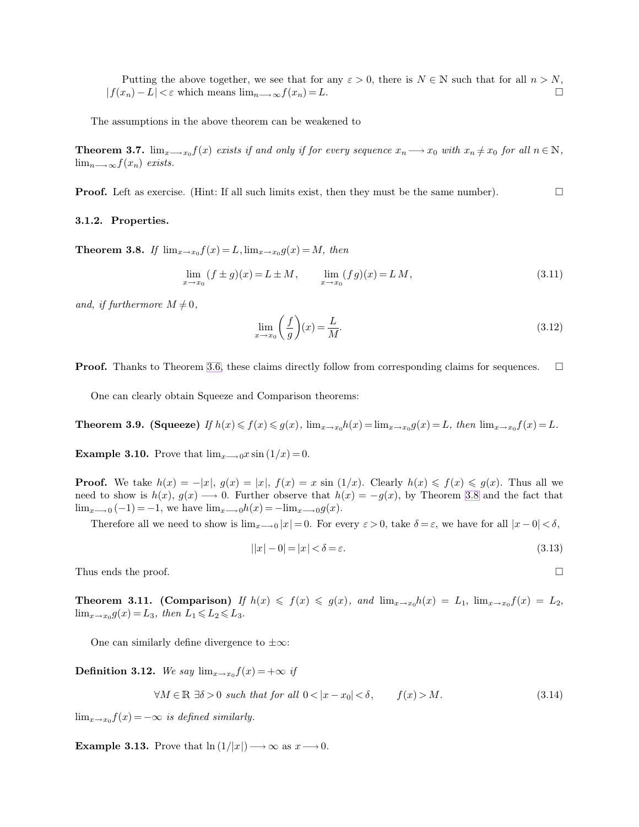<span id="page-2-0"></span>Putting the above together, we see that for any  $\varepsilon > 0$ , there is  $N \in \mathbb{N}$  such that for all  $n > N$ ,<br> $r_n$ ) –  $L \leq \varepsilon$  which means  $\lim_{n \to \infty} f(r_n) = L$  $|f(x_n) - L| < \varepsilon$  which means  $\lim_{n \to \infty} f(x_n) = L$ .

The assumptions in the above theorem can be weakened to

**Theorem 3.7.**  $\lim_{x\to x_0} f(x)$  *exists if and only if for every sequence*  $x_n \longrightarrow x_0$  *with*  $x_n \neq x_0$  *for all*  $n \in \mathbb{N}$ *,*  $\lim_{n\longrightarrow\infty}f(x_n)$  *exists.* 

**Proof.** Left as exercise. (Hint: If all such limits exist, then they must be the same number).

## **3.1.2. Properties.**

**Theorem 3.8.** *If*  $\lim_{x \to x_0} f(x) = L$ ,  $\lim_{x \to x_0} g(x) = M$ , then

$$
\lim_{x \to x_0} (f \pm g)(x) = L \pm M, \qquad \lim_{x \to x_0} (fg)(x) = LM,
$$
\n(3.11)

and, if furthermore  $M \neq 0$ ,

$$
\lim_{x \to x_0} \left( \frac{f}{g} \right) (x) = \frac{L}{M}.
$$
\n(3.12)

**Proof.** Thanks to Theorem [3.6,](#page-1-0) these claims directly follow from corresponding claims for sequences.  $\square$ 

One can clearly obtain Squeeze and Comparison theorems:

**Theorem 3.9. (Squeeze)** If  $h(x) \leq f(x) \leq g(x)$ ,  $\lim_{x \to x_0} h(x) = \lim_{x \to x_0} g(x) = L$ , then  $\lim_{x \to x_0} f(x) = L$ .

**Example 3.10.** Prove that  $\lim_{x\to 0}x \sin (1/x)=0$ .

**Proof.** We take  $h(x) = -|x|$ ,  $g(x) = |x|$ ,  $f(x) = x \sin(1/x)$ . Clearly  $h(x) \leq f(x) \leq g(x)$ . Thus all we need to show is  $h(x)$ ,  $g(x) \rightarrow 0$ . Further observe that  $h(x) = -g(x)$ , by Theorem [3.8](#page-2-0) and the fact that  $\lim_{x\longrightarrow 0} (-1) = -1$ , we have  $\lim_{x\longrightarrow 0}h(x) = -\lim_{x\longrightarrow 0}g(x)$ .

Therefore all we need to show is  $\lim_{x\to 0} |x| = 0$ . For every  $\varepsilon > 0$ , take  $\delta = \varepsilon$ , we have for all  $|x - 0| < \delta$ ,

$$
||x| - 0| = |x| < \delta = \varepsilon.
$$
\n(3.13)

Thus ends the proof.  $\square$ 

**Theorem 3.11.** (Comparison) *If*  $h(x) \leq f(x) \leq g(x)$ , and  $\lim_{x\to x_0} h(x) = L_1$ ,  $\lim_{x\to x_0} f(x) = L_2$ ,  $\lim_{x \to x_0} g(x) = L_3$ , then  $L_1 \le L_2 \le L_3$ .

One can similarly define divergence to  $\pm\infty$ :

**Definition 3.12.** *We say*  $\lim_{x\to x_0} f(x) = +\infty$  *if* 

$$
\forall M \in \mathbb{R} \exists \delta > 0 \text{ such that for all } 0 < |x - x_0| < \delta, \qquad f(x) > M. \tag{3.14}
$$

 $\lim_{x\to x_0} f(x) = -\infty$  *is defined similarly.* 

**Example 3.13.** Prove that  $\ln(1/|x|) \rightarrow \infty$  as  $x \rightarrow 0$ .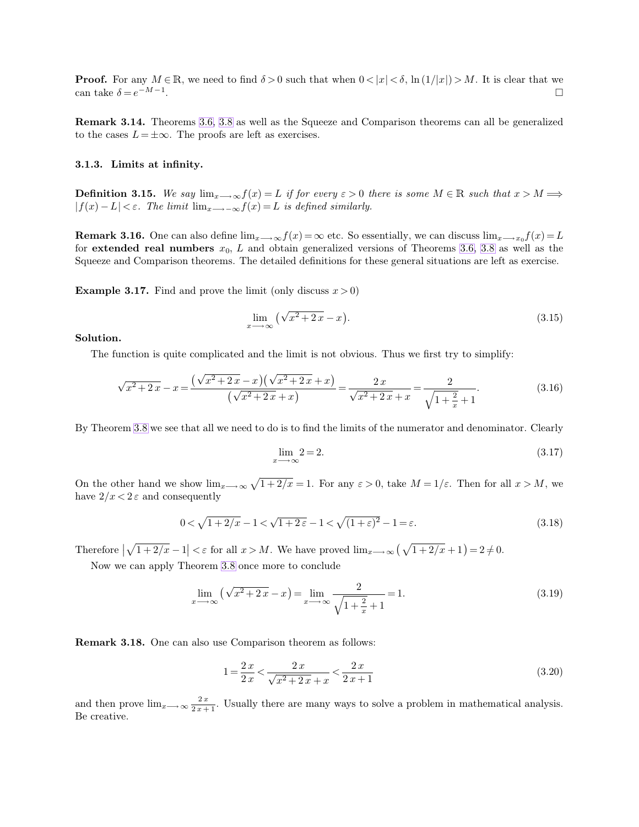**Proof.** For any  $M \in \mathbb{R}$ , we need to find  $\delta > 0$  such that when  $0 < |x| < \delta$ ,  $\ln(1/|x|) > M$ . It is clear that we can take  $\delta = e^{-M-1}$ . can take  $\delta = e^{-M-1}$ .

**Remark 3.14.** Theorems [3.6,](#page-1-0) [3.8](#page-2-0) as well as the Squeeze and Comparison theorems can all be generalized to the cases  $L = \pm \infty$ . The proofs are left as exercises.

#### **3.1.3. Limits at infinity.**

**Definition 3.15.** We say  $\lim_{x\to\infty} f(x) = L$  *if for every*  $\varepsilon > 0$  *there is some*  $M \in \mathbb{R}$  *such that*  $x > M \Longrightarrow$  $|f(x) - L| < \varepsilon$ . The limit  $\lim_{x \to -\infty} f(x) = L$  is defined similarly.

**Remark 3.16.** One can also define  $\lim_{x\to\infty}f(x)=\infty$  etc. So essentially, we can discuss  $\lim_{x\to x_0}f(x)=L$ for **extended real numbers**  $x_0$ ,  $L$  and obtain generalized versions of Theorems [3.6,](#page-1-0) [3.8](#page-2-0) as well as the Squeeze and Comparison theorems. The detailed definitions for these general situations are left as exercise.

**Example 3.17.** Find and prove the limit (only discuss  $x > 0$ )

$$
\lim_{x \to \infty} \left( \sqrt{x^2 + 2x} - x \right). \tag{3.15}
$$

**Solution.**

The function is quite complicated and the limit is not obvious. Thus we first try to simplify:

$$
\sqrt{x^2 + 2x} - x = \frac{(\sqrt{x^2 + 2x} - x)(\sqrt{x^2 + 2x} + x)}{(\sqrt{x^2 + 2x} + x)} = \frac{2x}{\sqrt{x^2 + 2x} + x} = \frac{2}{\sqrt{1 + \frac{2}{x}} + 1}.
$$
\n(3.16)

By Theorem [3.8](#page-2-0) we see that all we need to do is to find the limits of the numerator and denominator. Clearly

$$
\lim_{x \to \infty} 2 = 2. \tag{3.17}
$$

On the other hand we show  $\lim_{x\to\infty}\sqrt{1+2/x}=1$ . For any  $\varepsilon>0$ , take  $M=1/\varepsilon$ . Then for all  $x>M$ , we have  $2/x < 2 \varepsilon$  and consequently

$$
0 < \sqrt{1 + 2/x} - 1 < \sqrt{1 + 2\varepsilon} - 1 < \sqrt{(1 + \varepsilon)^2} - 1 = \varepsilon.
$$
 (3.18)

Therefore  $\left|\sqrt{1+2/x}-1\right| < \varepsilon$  for all  $x > M$ . We have proved  $\lim_{x\to\infty} \left(\sqrt{1+2/x}+1\right) = 2 \neq 0$ .

Now we can apply Theorem [3.8](#page-2-0) once more to conclude

$$
\lim_{x \to \infty} \left(\sqrt{x^2 + 2x} - x\right) = \lim_{x \to \infty} \frac{2}{\sqrt{1 + \frac{2}{x} + 1}} = 1.
$$
\n(3.19)

**Remark 3.18.** One can also use Comparison theorem as follows:

$$
1 = \frac{2x}{2x} < \frac{2x}{\sqrt{x^2 + 2x} + x} < \frac{2x}{2x + 1}
$$
\n(3.20)

and then prove  $\lim_{x\to\infty} \frac{2x}{2x+1}$ . Usually there are many ways to solve a problem in mathematical analysis. Be creative.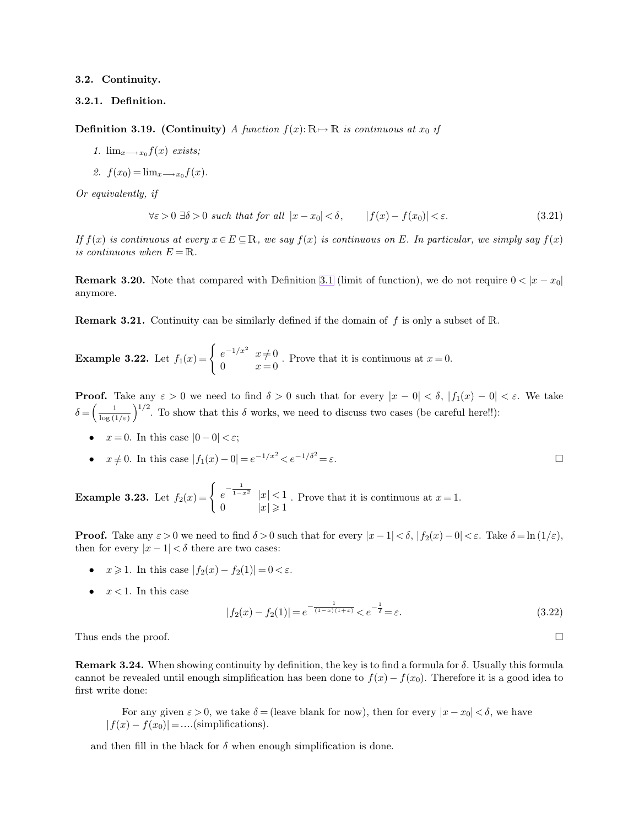### **3.2. Continuity.**

# **3.2.1. Definition.**

**Definition 3.19. (Continuity)** *A function*  $f(x): \mathbb{R} \to \mathbb{R}$  *is continuous at*  $x_0$  *if* 

- *1.*  $\lim_{x\longrightarrow x_0} f(x)$  *exists;*
- 2.  $f(x_0) = \lim_{x \to x_0} f(x)$ .

*Or equivalently, if*

$$
\forall \varepsilon > 0 \; \exists \delta > 0 \; such \; that \; for \; all \; |x - x_0| < \delta, \qquad |f(x) - f(x_0)| < \varepsilon. \tag{3.21}
$$

*If*  $f(x)$  *is continuous at every*  $x \in E \subseteq \mathbb{R}$ *, we say*  $f(x)$  *is continuous on* E. In particular, we simply say  $f(x)$ *is continuous when*  $E = \mathbb{R}$ .

**Remark 3.20.** Note that compared with Definition [3.1](#page-0-0) (limit of function), we do not require  $0 < |x - x_0|$ anymore.

**Remark 3.21.** Continuity can be similarly defined if the domain of f is only a subset of R.

**Example 3.22.** Let  $f_1(x) = \begin{cases} e^{-1/x^2} & x \neq 0 \\ 0 & x \end{cases}$  $\begin{array}{lll} e & x \neq 0 \\ 0 & x = 0 \end{array}$ . Prove that it is continuous at  $x = 0$ .

**Proof.** Take any  $\varepsilon > 0$  we need to find  $\delta > 0$  such that for every  $|x - 0| < \delta$ ,  $|f_1(x) - 0| < \varepsilon$ . We take  $\delta = \left(\frac{1}{\log(1)}\right)$  $\frac{1}{\log(1/\varepsilon)}$  1/2. To show that this  $\delta$  works, we need to discuss two cases (be careful here!!):

- $x = 0$ . In this case  $|0 0| < \varepsilon$ ;
- $x \neq 0$ . In this case  $|f_1(x) 0| = e^{-1/x^2} < e^{-1/\delta^2}$  $=\varepsilon$ .

**Example 3.23.** Let  $f_2(x) = \begin{cases} e^{-\frac{1}{1-x^2}} & |x| < 1 \end{cases}$ 0  $|x| \geqslant 1$ . Prove that it is continuous at  $x = 1$ .

**Proof.** Take any  $\varepsilon > 0$  we need to find  $\delta > 0$  such that for every  $|x - 1| < \delta$ ,  $|f_2(x) - 0| < \varepsilon$ . Take  $\delta = \ln(1/\varepsilon)$ , then for every  $|x-1| < \delta$  there are two cases:

- $x \ge 1$ . In this case  $|f_2(x) f_2(1)| = 0 < \varepsilon$ .
- $x < 1$ . In this case

<span id="page-4-0"></span>
$$
|f_2(x) - f_2(1)| = e^{-\frac{1}{(1-x)(1+x)}} < e^{-\frac{1}{\delta}} = \varepsilon.
$$
 (3.22)

Thus ends the proof.  $\Box$ 

**Remark 3.24.** When showing continuity by definition, the key is to find a formula for  $\delta$ . Usually this formula cannot be revealed until enough simplification has been done to  $f(x) - f(x_0)$ . Therefore it is a good idea to first write done:

For any given  $\varepsilon > 0$ , we take  $\delta =$  (leave blank for now), then for every  $|x - x_0| < \delta$ , we have  $|f(x) - f(x_0)| =$ ....(simplifications).

and then fill in the black for  $\delta$  when enough simplification is done.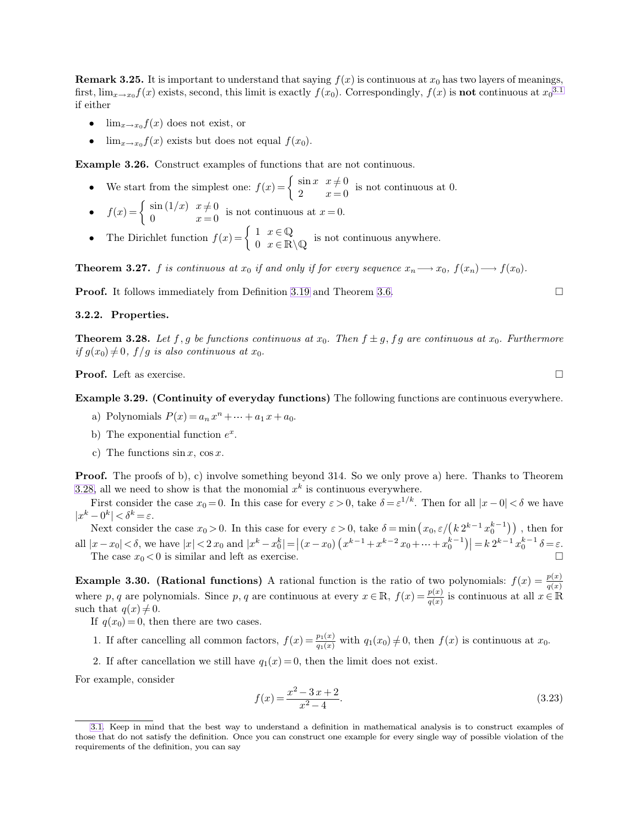<span id="page-5-0"></span>**Remark 3.25.** It is important to understand that saying  $f(x)$  is continuous at  $x_0$  has two layers of meanings, first,  $\lim_{x\to x_0} f(x)$  exists, second, this limit is exactly  $f(x_0)$ . Correspondingly,  $f(x)$  is **not** continuous at  $x_0^{3.1}$ if either

- $\lim_{x\to x_0} f(x)$  does not exist, or
- $\lim_{x\to x_0} f(x)$  exists but does not equal  $f(x_0)$ .

**Example 3.26.** Construct examples of functions that are not continuous.

- We start from the simplest one:  $f(x) = \begin{cases} \sin x & x \neq 0 \\ 2 & x = 0 \end{cases}$  is not continuous at 0.
- $f(x) = \begin{cases} \sin(1/x) & x \neq 0 \\ 0 & x = 0 \end{cases}$  is not continuous at  $x = 0$ .
- The Dirichlet function  $f(x) = \begin{cases} 1 & x \in \mathbb{Q} \\ 0 & x \in \mathbb{R} \end{cases}$  $0 \quad x \in \mathbb{R} \setminus \mathbb{Q}$  is not continuous anywhere.

**Theorem 3.27.** f *is continuous at*  $x_0$  *if and only if for every sequence*  $x_n \longrightarrow x_0$ ,  $f(x_n) \longrightarrow f(x_0)$ *.* 

**Proof.** It follows immediately from Definition [3.19](#page-4-0) and Theorem [3.6.](#page-1-0)

## **3.2.2. Properties.**

**Theorem 3.28.** Let f, g be functions continuous at  $x_0$ . Then  $f \pm g$ , f g are continuous at  $x_0$ . Furthermore  $if g(x_0) \neq 0$ ,  $f/g$  *is also continuous at*  $x_0$ *.* 

**Proof.** Left as exercise. □

### **Example 3.29. (Continuity of everyday functions)** The following functions are continuous everywhere.

- a) Polynomials  $P(x) = a_n x^n + \dots + a_1 x + a_0$ .
- b) The exponential function  $e^x$ .
- c) The functions  $\sin x$ ,  $\cos x$ .

**Proof.** The proofs of b), c) involve something beyond 314. So we only prove a) here. Thanks to Theorem [3.28,](#page-5-0) all we need to show is that the monomial  $x^k$  is continuous everywhere.

First consider the case  $x_0 = 0$ . In this case for every  $\varepsilon > 0$ , take  $\delta = \varepsilon^{1/k}$ . Then for all  $|x - 0| < \delta$  we have  $|x^k - 0^k| < \delta^k = \varepsilon.$ 

Next consider the case  $x_0 > 0$ . In this case for every  $\varepsilon > 0$ , take  $\delta = \min(x_0, \varepsilon/(k 2^{k-1} x_0^{k-1}))$ , then for all  $|x-x_0| < \delta$ , we have  $|x| < 2x_0$  and  $|x^k - x_0^k| = |(x-x_0)(x^{k-1} + x^{k-2}x_0 + \dots + x_0^{k-1})| = k 2^{k-1} x_0^{k-1} \delta = \varepsilon$ . The case  $x_0 < 0$  is similar and left as exercise.

**Example 3.30. (Rational functions)** A rational function is the ratio of two polynomials:  $f(x) = \frac{p(x)}{q(x)}$ where p, q are polynomials. Since p, q are continuous at every  $x \in \mathbb{R}$ ,  $f(x) = \frac{p(x)}{q(x)}$  is continuous at all  $x \in \mathbb{R}$ such that  $q(x) \neq 0$ .

- If  $q(x_0)=0$ , then there are two cases.
- 1. If after cancelling all common factors,  $f(x) = \frac{p_1(x)}{q_1(x)}$  with  $q_1(x_0) \neq 0$ , then  $f(x)$  is continuous at  $x_0$ .
- 2. If after cancellation we still have  $q_1(x)=0$ , then the limit does not exist.

For example, consider

$$
f(x) = \frac{x^2 - 3x + 2}{x^2 - 4}.
$$
\n(3.23)

<span id="page-5-1"></span>

[<sup>3.1.</sup>](#page-5-1) Keep in mind that the best way to understand a definition in mathematical analysis is to construct examples of those that do not satisfy the definition. Once you can construct one example for every single way of possible violation of the requirements of the definition, you can say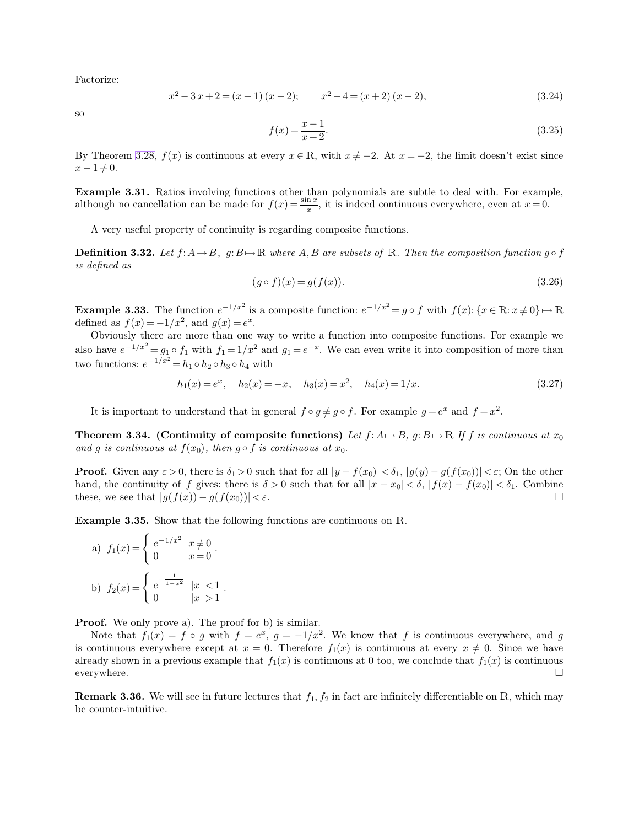Factorize:

$$
x^{2}-3x+2=(x-1)(x-2); \t x^{2}-4=(x+2)(x-2), \t (3.24)
$$

so

$$
f(x) = \frac{x-1}{x+2}.\tag{3.25}
$$

By Theorem [3.28,](#page-5-0)  $f(x)$  is continuous at every  $x \in \mathbb{R}$ , with  $x \neq -2$ . At  $x = -2$ , the limit doesn't exist since  $x - 1 \neq 0.$ 

**Example 3.31.** Ratios involving functions other than polynomials are subtle to deal with. For example, although no cancellation can be made for  $f(x) = \frac{\sin x}{x}$ , it is indeed continuous everywhere, even at  $x = 0$ .

A very useful property of continuity is regarding composite functions.

**Definition 3.32.** Let  $f: A \rightarrow B$ ,  $g: B \rightarrow \mathbb{R}$  where A, B are subsets of  $\mathbb{R}$ . Then the composition function  $g \circ f$ *is defined as*

$$
(g \circ f)(x) = g(f(x)).\tag{3.26}
$$

**Example 3.33.** The function  $e^{-1/x^2}$  is a composite function:  $e^{-1/x^2} = g \circ f$  with  $f(x)$ :  $\{x \in \mathbb{R} : x \neq 0\} \mapsto \mathbb{R}$ defined as  $f(x) = -1/x^2$ , and  $g(x) = e^x$ .

Obviously there are more than one way to write a function into composite functions. For example we also have  $e^{-1/x^2} = g_1 \circ f_1$  with  $f_1 = 1/x^2$  and  $g_1 = e^{-x}$ . We can even write it into composition of more than two functions:  $e^{-1/x^2} = h_1 \circ h_2 \circ h_3 \circ h_4$  with

$$
h_1(x) = e^x, \quad h_2(x) = -x, \quad h_3(x) = x^2, \quad h_4(x) = 1/x.
$$
\n(3.27)

It is important to understand that in general  $f \circ g \neq g \circ f$ . For example  $g = e^x$  and  $f = x^2$ .

**Theorem 3.34.** (Continuity of composite functions) Let  $f: A \mapsto B$ ,  $g: B \mapsto \mathbb{R}$  If f is continuous at  $x_0$ and g is continuous at  $f(x_0)$ , then  $g \circ f$  is continuous at  $x_0$ .

**Proof.** Given any  $\varepsilon > 0$ , there is  $\delta_1 > 0$  such that for all  $|y - f(x_0)| < \delta_1$ ,  $|g(y) - g(f(x_0))| < \varepsilon$ ; On the other hand, the continuity of f gives: there is  $\delta > 0$  such that for all  $|x - x_0| < \delta$ ,  $|f(x) - f(x_0)| < \delta_1$ . Combine these, we see that  $|g(f(x)) - g(f(x_0))| < \varepsilon$ . these, we see that  $|g(f(x)) - g(f(x_0))| < \varepsilon$ .

**Example 3.35.** Show that the following functions are continuous on R.

.

a) 
$$
f_1(x) = \begin{cases} e^{-1/x^2} & x \neq 0 \\ 0 & x = 0 \end{cases}
$$
.  
b)  $f_2(x) = \begin{cases} e^{-\frac{1}{1-x^2}} & |x| < 1 \\ 0 & |x| > 1 \end{cases}$ 

**Proof.** We only prove a). The proof for b) is similar.

Note that  $f_1(x) = f \circ g$  with  $f = e^x$ ,  $g = -1/x^2$ . We know that f is continuous everywhere, and g is continuous everywhere except at  $x = 0$ . Therefore  $f_1(x)$  is continuous at every  $x \neq 0$ . Since we have already shown in a previous example that  $f_1(x)$  is continuous at 0 too, we conclude that  $f_1(x)$  is continuous everywhere.  $\Box$ 

**Remark 3.36.** We will see in future lectures that  $f_1, f_2$  in fact are infinitely differentiable on  $\mathbb{R}$ , which may be counter-intuitive.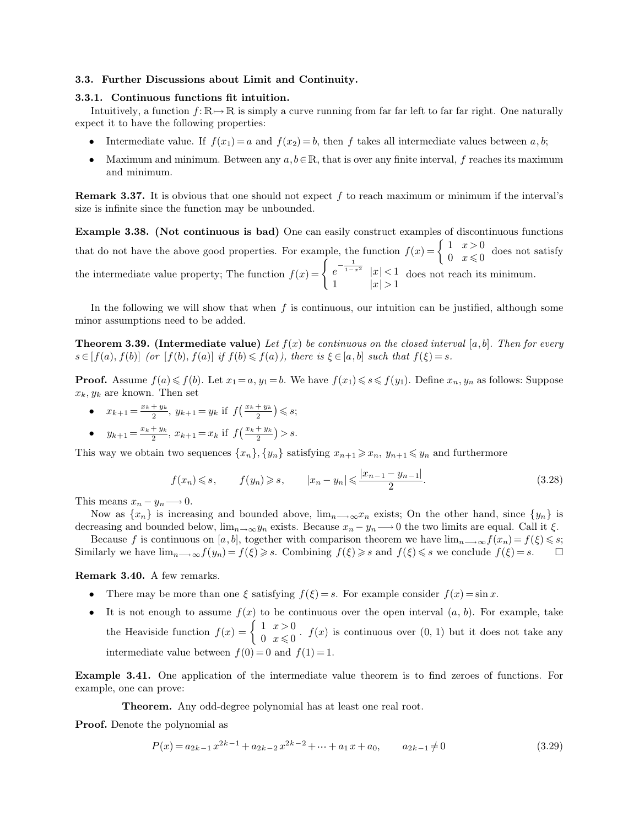## <span id="page-7-0"></span>**3.3. Further Discussions about Limit and Continuity.**

## **3.3.1. Continuous functions fit intuition.**

Intuitively, a function  $f: \mathbb{R} \to \mathbb{R}$  is simply a curve running from far far left to far far right. One naturally expect it to have the following properties:

- Intermediate value. If  $f(x_1) = a$  and  $f(x_2) = b$ , then f takes all intermediate values between a, b;
- Maximum and minimum. Between any  $a, b \in \mathbb{R}$ , that is over any finite interval, f reaches its maximum and minimum.

**Remark 3.37.** It is obvious that one should not expect  $f$  to reach maximum or minimum if the interval's size is infinite since the function may be unbounded.

**Example 3.38. (Not continuous is bad)** One can easily construct examples of discontinuous functions that do not have the above good properties. For example, the function  $f(x) = \begin{cases} 1 & x > 0 \\ 0 & x < 0 \end{cases}$  $\begin{array}{cc} 1 & x < 0 \\ 0 & x \leq 0 \end{array}$  does not satisfy the intermediate value property; The function  $f(x) = \begin{cases} e^{-\frac{1}{1-x^2}} & |x| < 1 \end{cases}$ 1  $|x| > 1$ does not reach its minimum.

In the following we will show that when  $f$  is continuous, our intuition can be justified, although some minor assumptions need to be added.

**Theorem 3.39. (Intermediate value)** Let  $f(x)$  be continuous on the closed interval  $[a, b]$ . Then for every  $s \in [f(a), f(b)]$  *(or*  $[f(b), f(a)]$  *if*  $f(b) \leq f(a)$ *), there is*  $\xi \in [a, b]$  *such that*  $f(\xi) = s$ *.* 

**Proof.** Assume  $f(a) \leq f(b)$ . Let  $x_1 = a$ ,  $y_1 = b$ . We have  $f(x_1) \leq s \leq f(y_1)$ . Define  $x_n, y_n$  as follows: Suppose  $x_k, y_k$  are known. Then set

•  $x_{k+1} = \frac{x_k + y_k}{2}$  $\frac{y_k}{2}, y_{k+1} = y_k$  if  $f\left(\frac{x_k + y_k}{2}\right) \leq s;$ •  $y_{k+1} = \frac{x_k + y_k}{2}$  $\frac{y_k}{2}, x_{k+1} = x_k$  if  $f\left(\frac{x_k + y_k}{2}\right) > s.$ 

This way we obtain two sequences  $\{x_n\}, \{y_n\}$  satisfying  $x_{n+1} \geq x_n$ ,  $y_{n+1} \leq y_n$  and furthermore

$$
f(x_n) \le s
$$
,  $f(y_n) \ge s$ ,  $|x_n - y_n| \le \frac{|x_{n-1} - y_{n-1}|}{2}$ . (3.28)

This means  $x_n - y_n \longrightarrow 0$ .

Now as  $\{x_n\}$  is increasing and bounded above,  $\lim_{n\to\infty}x_n$  exists; On the other hand, since  $\{y_n\}$  is decreasing and bounded below,  $\lim_{n\to\infty}y_n$  exists. Because  $x_n - y_n \longrightarrow 0$  the two limits are equal. Call it  $\xi$ .

Because f is continuous on [a, b], together with comparison theorem we have  $\lim_{n\to\infty} f(x_n) = f(\xi) \leq s$ ;<br>iilarly we have  $\lim_{n\to\infty} f(y_n) = f(\xi) \geq s$ . Combining  $f(\xi) \geq s$  and  $f(\xi) \leq s$  we conclude  $f(\xi) = s$ . Similarly we have  $\lim_{n\to\infty}f(y_n)=f(\xi)\geqslant s$ . Combining  $f(\xi)\geqslant s$  and  $f(\xi)\leqslant s$  we conclude  $f(\xi)=s$ .

### **Remark 3.40.** A few remarks.

- There may be more than one  $\xi$  satisfying  $f(\xi) = s$ . For example consider  $f(x) = \sin x$ .
- It is not enough to assume  $f(x)$  to be continuous over the open interval  $(a, b)$ . For example, take the Heaviside function  $f(x) = \begin{cases} 1 & x > 0 \\ 0 & x \leq 0 \end{cases}$  $\begin{cases} 1 & x > 0 \\ 0 & x \le 0 \end{cases}$ .  $f(x)$  is continuous over  $(0, 1)$  but it does not take any intermediate value between  $f(0)=0$  and  $f(1)=1$ .

**Example 3.41.** One application of the intermediate value theorem is to find zeroes of functions. For example, one can prove:

**Theorem.** Any odd-degree polynomial has at least one real root.

**Proof.** Denote the polynomial as

$$
P(x) = a_{2k-1}x^{2k-1} + a_{2k-2}x^{2k-2} + \dots + a_1x + a_0, \qquad a_{2k-1} \neq 0
$$
\n
$$
(3.29)
$$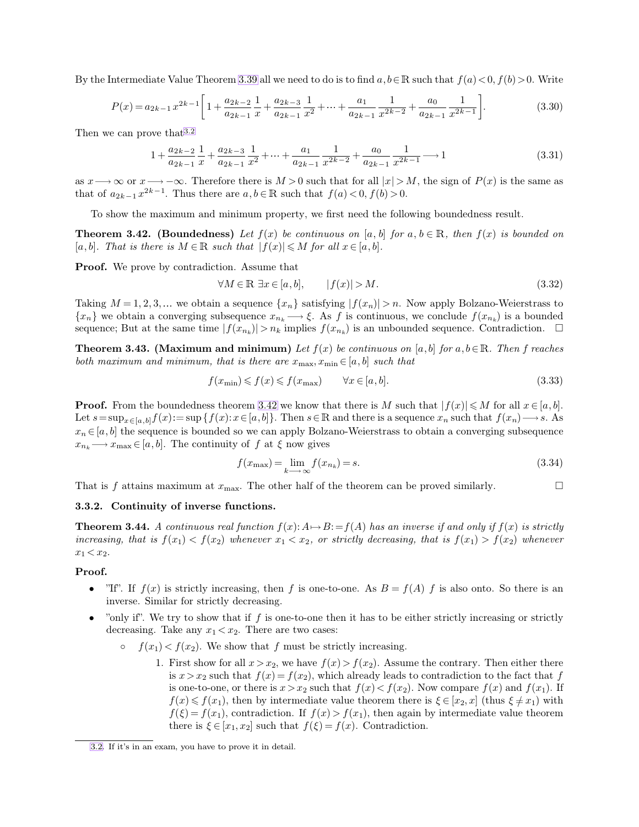By the Intermediate Value Theorem [3.39](#page-7-0) all we need to do is to find  $a, b \in \mathbb{R}$  such that  $f(a) < 0, f(b) > 0$ . Write

<span id="page-8-0"></span>
$$
P(x) = a_{2k-1}x^{2k-1} \left[ 1 + \frac{a_{2k-2}}{a_{2k-1}} \frac{1}{x} + \frac{a_{2k-3}}{a_{2k-1}} \frac{1}{x^2} + \dots + \frac{a_1}{a_{2k-1}} \frac{1}{x^{2k-2}} + \frac{a_0}{a_{2k-1}} \frac{1}{x^{2k-1}} \right].
$$
 (3.30)

Then we can prove that 3.2

$$
1 + \frac{a_{2k-2}}{a_{2k-1}} \frac{1}{x} + \frac{a_{2k-3}}{a_{2k-1}} \frac{1}{x^2} + \dots + \frac{a_1}{a_{2k-1}} \frac{1}{x^{2k-2}} + \frac{a_0}{a_{2k-1}} \frac{1}{x^{2k-1}} \longrightarrow 1
$$
\n(3.31)

as  $x \rightarrow \infty$  or  $x \rightarrow -\infty$ . Therefore there is  $M > 0$  such that for all  $|x| > M$ , the sign of  $P(x)$  is the same as that of  $a_{2k-1}x^{2k-1}$ . Thus there are  $a, b \in \mathbb{R}$  such that  $f(a) < 0, f(b) > 0$ .

To show the maximum and minimum property, we first need the following boundedness result.

**Theorem 3.42.** (Boundedness) Let  $f(x)$  be continuous on [a, b] for a,  $b \in \mathbb{R}$ , then  $f(x)$  is bounded on [a, b]. That is there is  $M \in \mathbb{R}$  such that  $|f(x)| \leq M$  for all  $x \in [a, b]$ .

**Proof.** We prove by contradiction. Assume that

$$
\forall M \in \mathbb{R} \; \exists x \in [a, b], \qquad |f(x)| > M. \tag{3.32}
$$

Taking  $M = 1, 2, 3, ...$  we obtain a sequence  $\{x_n\}$  satisfying  $|f(x_n)| > n$ . Now apply Bolzano-Weierstrass to  ${x_n}$  we obtain a converging subsequence  $x_{n_k} \longrightarrow \xi$ . As f is continuous, we conclude  $f(x_{n_k})$  is a bounded sequence; But at the same time  $|f(x_{n_k})| > n_k$  implies  $f(x_{n_k})$  is an unbounded sequence. Contradiction.  $\Box$ 

**Theorem 3.43.** (Maximum and minimum) Let  $f(x)$  be continuous on [a, b] for a, b $\in \mathbb{R}$ . Then f reaches *both maximum and minimum, that is there are*  $x_{\text{max}}, x_{\text{min}} \in [a, b]$  *such that* 

$$
f(x_{\min}) \leqslant f(x) \leqslant f(x_{\max}) \qquad \forall x \in [a, b]. \tag{3.33}
$$

**Proof.** From the boundedness theorem [3.42](#page-8-0) we know that there is M such that  $|f(x)| \le M$  for all  $x \in [a, b]$ . Let  $s=\sup_{x\in[a,b]}f(x):=\sup\{f(x):x\in[a,b]\}.$  Then  $s\in\mathbb{R}$  and there is a sequence  $x_n$  such that  $f(x_n)\longrightarrow s$ . As  $x_n \in [a, b]$  the sequence is bounded so we can apply Bolzano-Weierstrass to obtain a converging subsequence  $x_{n_k} \longrightarrow x_{\text{max}} \in [a, b]$ . The continuity of f at  $\xi$  now gives

<span id="page-8-1"></span>
$$
f(x_{\max}) = \lim_{k \to \infty} f(x_{n_k}) = s.
$$
\n(3.34)

That is f attains maximum at  $x_{\text{max}}$ . The other half of the theorem can be proved similarly.

#### **3.3.2. Continuity of inverse functions.**

**Theorem 3.44.** *A continuous real function*  $f(x): A \mapsto B := f(A)$  *has an inverse if and only if*  $f(x)$  *is strictly increasing, that is*  $f(x_1) < f(x_2)$  *whenever*  $x_1 < x_2$ *, or strictly decreasing, that is*  $f(x_1) > f(x_2)$  *whenever*  $x_1 < x_2$ .

### **Proof.**

- "If". If  $f(x)$  is strictly increasing, then f is one-to-one. As  $B = f(A)$  f is also onto. So there is an inverse. Similar for strictly decreasing.
- "only if". We try to show that if  $f$  is one-to-one then it has to be either strictly increasing or strictly decreasing. Take any  $x_1 < x_2$ . There are two cases:
	- $f(x_1) < f(x_2)$ . We show that f must be strictly increasing.
		- 1. First show for all  $x > x_2$ , we have  $f(x) > f(x_2)$ . Assume the contrary. Then either there is  $x > x_2$  such that  $f(x) = f(x_2)$ , which already leads to contradiction to the fact that f is one-to-one, or there is  $x > x_2$  such that  $f(x) < f(x_2)$ . Now compare  $f(x)$  and  $f(x_1)$ . If  $f(x) \leq f(x_1)$ , then by intermediate value theorem there is  $\xi \in [x_2, x]$  (thus  $\xi \neq x_1$ ) with  $f(\xi) = f(x_1)$ , contradiction. If  $f(x) > f(x_1)$ , then again by intermediate value theorem there is  $\xi \in [x_1, x_2]$  such that  $f(\xi) = f(x)$ . Contradiction.

[<sup>3.2.</sup>](#page-8-1) If it's in an exam, you have to prove it in detail.